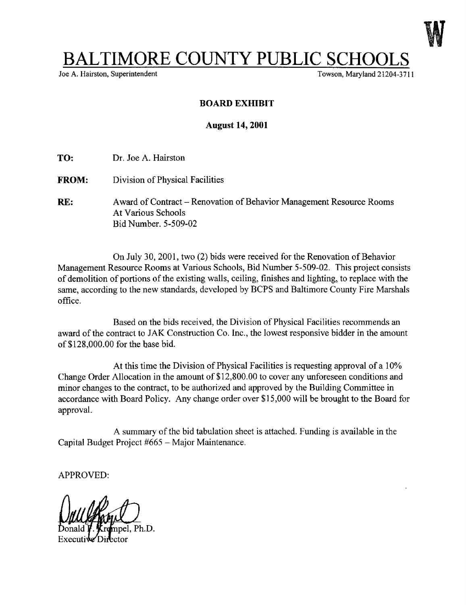

## BALTIMORE COUNTY PUBLIC SCHOOLS<br>
Og A. Hairston, Superintendent

Joe A. Hairston, Superintendent

## BOARD EXHIBIT

## August 14, 2001

- TO: Dr. Joe A. Hairston
- FROM: Division of Physical Facilities
- RE: Award of Contract Renovation of Behavior Management Resource Rooms At Various Schools Bid Number. 5-509-02

On July 30, 2001, two (2) bids were received for the Renovation of Behavior Management Resource Rooms at Various Schools, Bid Number 5-509-02. This project consists of demolition of portions of the existing walls, ceiling, finishes and lighting, to replace with the same, according to the new standards, developed by BCPS and Baltimore County Fire Marshals office .

Based on the bids received, the Division of Physical Facilities recommends an award of the contract to JAK Construction Co. Inc., the lowest responsive bidder in the amount of \$128,000.00 for the base bid.

At this time the Division of Physical Facilities is requesting approval of a 10% Change Order Allocation in the amount of \$12,800.00 to cover any unforeseen conditions and minor changes to the contract, to be authorized and approved by the Building Committee in accordance with Board Policy. Any change order over \$15,000 will be brought to the Board for approval.

A summary of the bid tabulation sheet is attached . Funding is available in the Capital Budget Project #665 - Major Maintenance.

APPROVED:

Ph.D.